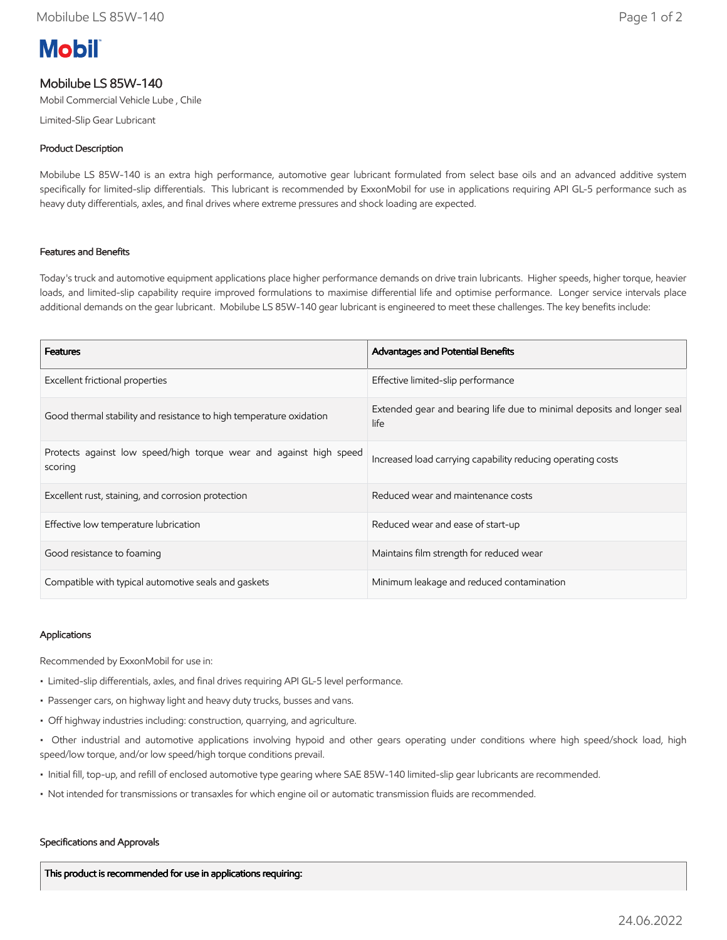# **Mobil**

# Mobilube LS 85W-140

Mobil Commercial Vehicle Lube , Chile

Limited-Slip Gear Lubricant

# Product Description

Mobilube LS 85W-140 is an extra high performance, automotive gear lubricant formulated from select base oils and an advanced additive system specifically for limited-slip differentials. This lubricant is recommended by ExxonMobil for use in applications requiring API GL-5 performance such as heavy duty differentials, axles, and final drives where extreme pressures and shock loading are expected.

## Features and Benefits

Today's truck and automotive equipment applications place higher performance demands on drive train lubricants. Higher speeds, higher torque, heavier loads, and limited-slip capability require improved formulations to maximise differential life and optimise performance. Longer service intervals place additional demands on the gear lubricant. Mobilube LS 85W-140 gear lubricant is engineered to meet these challenges. The key benefits include:

| <b>Features</b>                                                               | Advantages and Potential Benefits                                              |
|-------------------------------------------------------------------------------|--------------------------------------------------------------------------------|
| Excellent frictional properties                                               | Effective limited-slip performance                                             |
| Good thermal stability and resistance to high temperature oxidation           | Extended gear and bearing life due to minimal deposits and longer seal<br>life |
| Protects against low speed/high torque wear and against high speed<br>scoring | Increased load carrying capability reducing operating costs                    |
| Excellent rust, staining, and corrosion protection                            | Reduced wear and maintenance costs                                             |
| Effective low temperature lubrication                                         | Reduced wear and ease of start-up                                              |
| Good resistance to foaming                                                    | Maintains film strength for reduced wear                                       |
| Compatible with typical automotive seals and gaskets                          | Minimum leakage and reduced contamination                                      |

### Applications

Recommended by ExxonMobil for use in:

- Limited-slip differentials, axles, and final drives requiring API GL-5 level performance.
- Passenger cars, on highway light and heavy duty trucks, busses and vans.
- Off highway industries including: construction, quarrying, and agriculture.
- Other industrial and automotive applications involving hypoid and other gears operating under conditions where high speed/shock load, high speed/low torque, and/or low speed/high torque conditions prevail.
- Initial fill, top-up, and refill of enclosed automotive type gearing where SAE 85W-140 limited-slip gear lubricants are recommended.
- Not intended for transmissions or transaxles for which engine oil or automatic transmission fluids are recommended.

### Specifications and Approvals

This product is recommended for use in applications requiring: